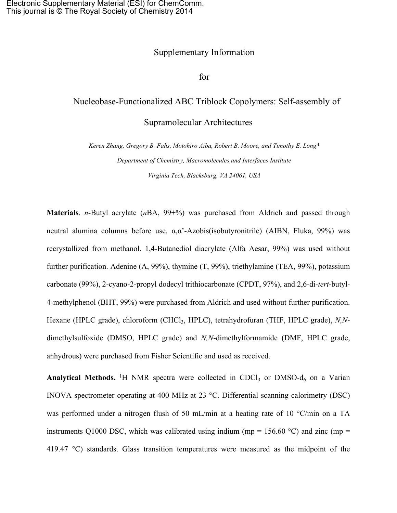## Supplementary Information

for

## Nucleobase-Functionalized ABC Triblock Copolymers: Self-assembly of

## Supramolecular Architectures

*Keren Zhang, Gregory B. Fahs, Motohiro Aiba, Robert B. Moore, and Timothy E. Long\* Department of Chemistry, Macromolecules and Interfaces Institute Virginia Tech, Blacksburg, VA 24061, USA*

**Materials**. *n*-Butyl acrylate (*n*BA, 99+%) was purchased from Aldrich and passed through neutral alumina columns before use.  $α_0α^2$ -Azobis(isobutyronitrile) (AIBN, Fluka, 99%) was recrystallized from methanol. 1,4-Butanediol diacrylate (Alfa Aesar, 99%) was used without further purification. Adenine (A, 99%), thymine (T, 99%), triethylamine (TEA, 99%), potassium carbonate (99%), 2-cyano-2-propyl dodecyl trithiocarbonate (CPDT, 97%), and 2,6-di-*tert*-butyl-4-methylphenol (BHT, 99%) were purchased from Aldrich and used without further purification. Hexane (HPLC grade), chloroform (CHCl<sub>3</sub>, HPLC), tetrahydrofuran (THF, HPLC grade), *N,N*dimethylsulfoxide (DMSO, HPLC grade) and *N,N*-dimethylformamide (DMF, HPLC grade, anhydrous) were purchased from Fisher Scientific and used as received.

**Analytical Methods.** <sup>1</sup>H NMR spectra were collected in CDCl<sub>3</sub> or DMSO- $d_6$  on a Varian INOVA spectrometer operating at 400 MHz at 23 °C. Differential scanning calorimetry (DSC) was performed under a nitrogen flush of 50 mL/min at a heating rate of 10 °C/min on a TA instruments Q1000 DSC, which was calibrated using indium (mp =  $156.60$  °C) and zinc (mp = 419.47 °C) standards. Glass transition temperatures were measured as the midpoint of the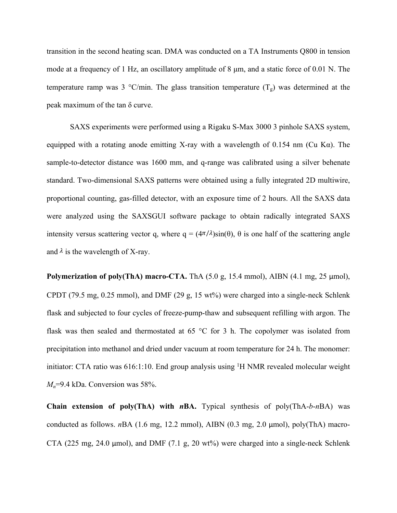transition in the second heating scan. DMA was conducted on a TA Instruments Q800 in tension mode at a frequency of 1 Hz, an oscillatory amplitude of 8 μm, and a static force of 0.01 N. The temperature ramp was 3 °C/min. The glass transition temperature  $(T<sub>g</sub>)$  was determined at the peak maximum of the tan δ curve.

SAXS experiments were performed using a Rigaku S-Max 3000 3 pinhole SAXS system, equipped with a rotating anode emitting X-ray with a wavelength of 0.154 nm (Cu K $\alpha$ ). The sample-to-detector distance was 1600 mm, and q-range was calibrated using a silver behenate standard. Two-dimensional SAXS patterns were obtained using a fully integrated 2D multiwire, proportional counting, gas-filled detector, with an exposure time of 2 hours. All the SAXS data were analyzed using the SAXSGUI software package to obtain radically integrated SAXS intensity versus scattering vector q, where  $q = (4\pi/\lambda)\sin(\theta)$ ,  $\theta$  is one half of the scattering angle and  $\lambda$  is the wavelength of X-ray.

**Polymerization of poly(ThA) macro-CTA.** ThA (5.0 g, 15.4 mmol), AIBN (4.1 mg, 25 μmol), CPDT (79.5 mg, 0.25 mmol), and DMF (29 g, 15 wt%) were charged into a single-neck Schlenk flask and subjected to four cycles of freeze-pump-thaw and subsequent refilling with argon. The flask was then sealed and thermostated at 65 °C for 3 h. The copolymer was isolated from precipitation into methanol and dried under vacuum at room temperature for 24 h. The monomer: initiator: CTA ratio was 616:1:10. End group analysis using <sup>1</sup>H NMR revealed molecular weight *Mn*=9.4 kDa. Conversion was 58%.

**Chain extension of poly(ThA) with** *n***BA.** Typical synthesis of poly(ThA-*b*-*n*BA) was conducted as follows. *n*BA (1.6 mg, 12.2 mmol), AIBN (0.3 mg, 2.0 μmol), poly(ThA) macro-CTA (225 mg, 24.0  $\mu$ mol), and DMF (7.1 g, 20 wt%) were charged into a single-neck Schlenk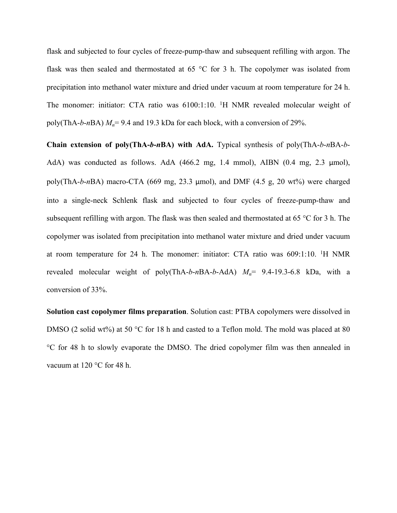flask and subjected to four cycles of freeze-pump-thaw and subsequent refilling with argon. The flask was then sealed and thermostated at 65 °C for 3 h. The copolymer was isolated from precipitation into methanol water mixture and dried under vacuum at room temperature for 24 h. The monomer: initiator: CTA ratio was 6100:1:10. <sup>1</sup>H NMR revealed molecular weight of poly(ThA-*b*-*n*BA) *Mn*= 9.4 and 19.3 kDa for each block, with a conversion of 29%.

**Chain extension of poly(ThA-***b***-***n***BA) with AdA.** Typical synthesis of poly(ThA-*b*-*n*BA-*b*-AdA) was conducted as follows. AdA (466.2 mg, 1.4 mmol), AIBN (0.4 mg, 2.3 μmol), poly(ThA-*b*-*n*BA) macro-CTA (669 mg, 23.3 μmol), and DMF (4.5 g, 20 wt%) were charged into a single-neck Schlenk flask and subjected to four cycles of freeze-pump-thaw and subsequent refilling with argon. The flask was then sealed and thermostated at 65 °C for 3 h. The copolymer was isolated from precipitation into methanol water mixture and dried under vacuum at room temperature for 24 h. The monomer: initiator: CTA ratio was 609:1:10. <sup>1</sup>H NMR revealed molecular weight of poly(ThA-*b*-*n*BA-*b*-AdA) *Mn*= 9.4-19.3-6.8 kDa, with a conversion of 33%.

**Solution cast copolymer films preparation**. Solution cast: PTBA copolymers were dissolved in DMSO (2 solid wt%) at 50 °C for 18 h and casted to a Teflon mold. The mold was placed at 80 °C for 48 h to slowly evaporate the DMSO. The dried copolymer film was then annealed in vacuum at 120 °C for 48 h.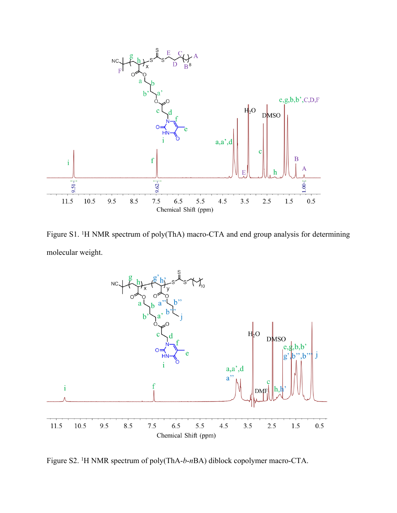

Figure S1. <sup>1</sup>H NMR spectrum of poly(ThA) macro-CTA and end group analysis for determining molecular weight.



Figure S2. <sup>1</sup>H NMR spectrum of poly(ThA-*b*-*n*BA) diblock copolymer macro-CTA.